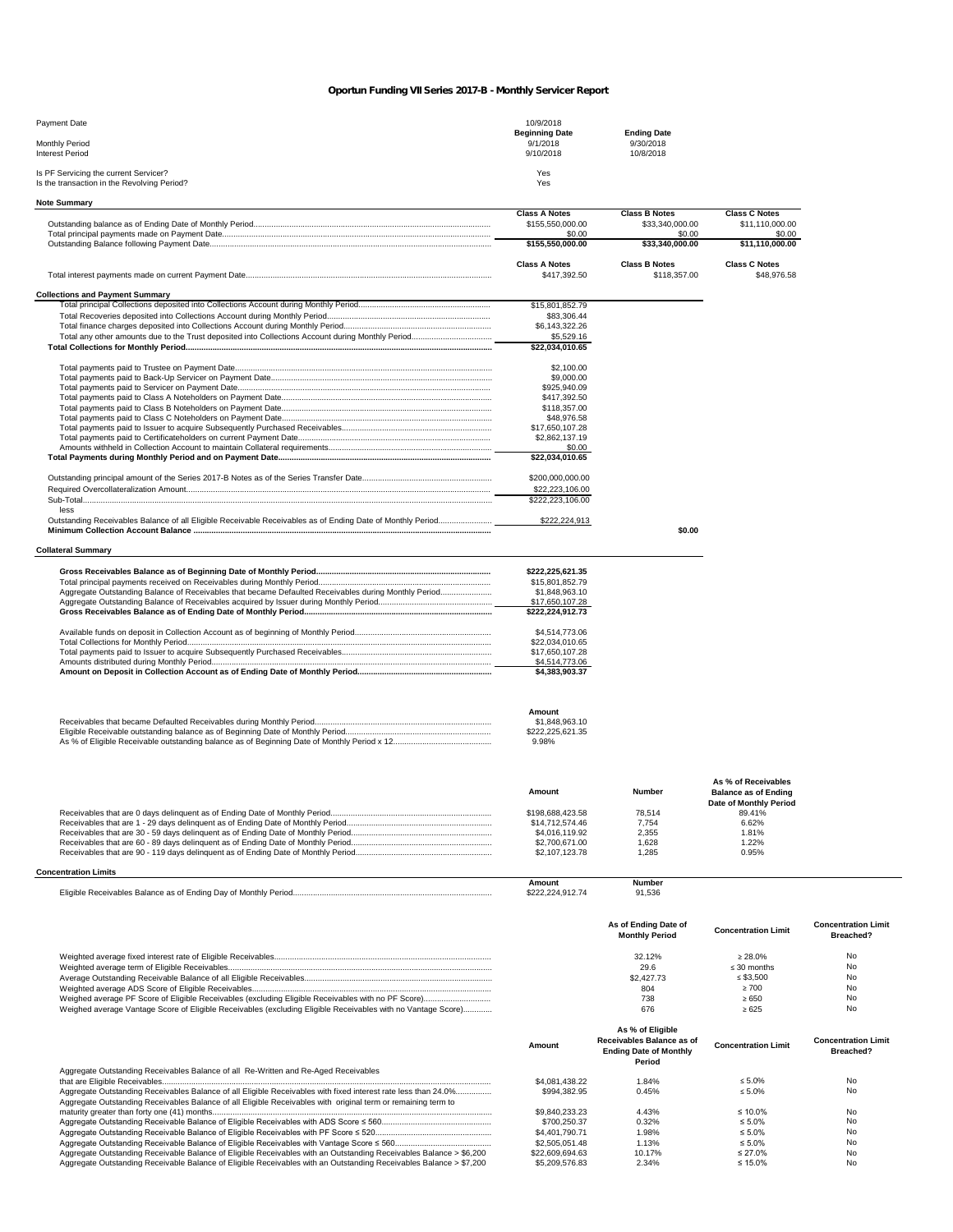## *Oportun Funding VII Series 2017-B - Monthly Servicer Report*

| Payment Date                                                                         | 10/9/2018<br><b>Beginning Date</b> | <b>Ending Date</b>     |                      |
|--------------------------------------------------------------------------------------|------------------------------------|------------------------|----------------------|
| <b>Monthly Period</b><br><b>Interest Period</b>                                      | 9/1/2018<br>9/10/2018              | 9/30/2018<br>10/8/2018 |                      |
| Is PF Servicing the current Servicer?<br>Is the transaction in the Revolving Period? | Yes<br>Yes                         |                        |                      |
| <b>Note Summary</b>                                                                  |                                    |                        |                      |
|                                                                                      | <b>Class A Notes</b>               | <b>Class B Notes</b>   | <b>Class C Notes</b> |

|                                                                                                      | \$155,550,000.00     | \$33,340,000.00      | \$11,110,000.00      |
|------------------------------------------------------------------------------------------------------|----------------------|----------------------|----------------------|
|                                                                                                      | \$0.00               | \$0.00               | \$0.00               |
|                                                                                                      | \$155.550.000.00     | \$33,340,000.00      | \$11,110,000.00      |
|                                                                                                      | <b>Class A Notes</b> | <b>Class B Notes</b> | <b>Class C Notes</b> |
|                                                                                                      | \$417.392.50         | \$118,357.00         | \$48,976.58          |
| <b>Collections and Payment Summary</b>                                                               |                      |                      |                      |
|                                                                                                      | \$15,801,852.79      |                      |                      |
|                                                                                                      | \$83.306.44          |                      |                      |
|                                                                                                      | \$6,143,322,26       |                      |                      |
|                                                                                                      | \$5,529.16           |                      |                      |
|                                                                                                      | \$22,034,010.65      |                      |                      |
|                                                                                                      | \$2,100,00           |                      |                      |
|                                                                                                      | \$9,000.00           |                      |                      |
|                                                                                                      | \$925,940.09         |                      |                      |
|                                                                                                      | \$417,392.50         |                      |                      |
|                                                                                                      | \$118,357,00         |                      |                      |
|                                                                                                      | \$48,976.58          |                      |                      |
|                                                                                                      | \$17,650,107.28      |                      |                      |
|                                                                                                      | \$2,862,137.19       |                      |                      |
|                                                                                                      | \$0.00               |                      |                      |
|                                                                                                      | \$22.034.010.65      |                      |                      |
|                                                                                                      | \$200,000,000,00     |                      |                      |
|                                                                                                      | \$22,223,106.00      |                      |                      |
|                                                                                                      | \$222,223,106.00     |                      |                      |
| less                                                                                                 |                      |                      |                      |
|                                                                                                      | \$222,224,913        |                      |                      |
|                                                                                                      |                      | \$0.00               |                      |
|                                                                                                      |                      |                      |                      |
| <b>Collateral Summary</b>                                                                            |                      |                      |                      |
|                                                                                                      | \$222,225,621.35     |                      |                      |
|                                                                                                      | \$15,801,852.79      |                      |                      |
| Aggregate Outstanding Balance of Receivables that became Defaulted Receivables during Monthly Period | \$1,848,963.10       |                      |                      |
|                                                                                                      | \$17,650,107.28      |                      |                      |
|                                                                                                      | \$222,224,912.73     |                      |                      |
|                                                                                                      | \$4,514,773.06       |                      |                      |
|                                                                                                      | \$22,034,010.65      |                      |                      |
|                                                                                                      | \$17,650,107.28      |                      |                      |
|                                                                                                      | \$4,514,773.06       |                      |                      |
|                                                                                                      | \$4.383.903.37       |                      |                      |
|                                                                                                      |                      |                      |                      |
|                                                                                                      | Amount               |                      |                      |
|                                                                                                      | \$1,848,963.10       |                      |                      |
|                                                                                                      | \$222,225,621.35     |                      |                      |
|                                                                                                      | 9.98%                |                      |                      |

|                             | Amount           | Number | As % of Receivables<br><b>Balance as of Ending</b><br>Date of Monthly Period |
|-----------------------------|------------------|--------|------------------------------------------------------------------------------|
|                             | \$198,688,423,58 | 78.514 | 89.41%                                                                       |
|                             | \$14,712,574.46  | 7.754  | 6.62%                                                                        |
|                             | \$4,016,119.92   | 2.355  | 1.81%                                                                        |
|                             | \$2,700,671,00   | 1.628  | 1.22%                                                                        |
|                             | \$2,107,123,78   | 1.285  | 0.95%                                                                        |
| <b>Concentration Limits</b> |                  |        |                                                                              |

| ncentration Limits         |
|----------------------------|
| <b>Number</b><br>Amount    |
| 91.536<br>\$222.224.912.74 |
|                            |

|                                                                                                                                                                                                                                 |                 | As of Ending Date of<br><b>Monthly Period</b>                                            | <b>Concentration Limit</b> | <b>Concentration Limit</b><br>Breached? |
|---------------------------------------------------------------------------------------------------------------------------------------------------------------------------------------------------------------------------------|-----------------|------------------------------------------------------------------------------------------|----------------------------|-----------------------------------------|
|                                                                                                                                                                                                                                 |                 | 32.12%                                                                                   | > 28.0%                    | <b>No</b>                               |
|                                                                                                                                                                                                                                 |                 | 29.6                                                                                     | $\leq$ 30 months           | N <sub>o</sub>                          |
|                                                                                                                                                                                                                                 |                 | \$2,427.73                                                                               | $\leq$ \$3.500             | N <sub>o</sub>                          |
|                                                                                                                                                                                                                                 |                 | 804                                                                                      | >700                       | <b>No</b>                               |
|                                                                                                                                                                                                                                 |                 | 738                                                                                      | >650                       | <b>No</b>                               |
| Weighed average Vantage Score of Eligible Receivables (excluding Eligible Receivables with no Vantage Score)                                                                                                                    |                 | 676                                                                                      | $\ge 625$                  | <b>No</b>                               |
| Aggregate Outstanding Receivables Balance of all Re-Written and Re-Aged Receivables                                                                                                                                             | Amount          | As % of Eligible<br>Receivables Balance as of<br><b>Ending Date of Monthly</b><br>Period | <b>Concentration Limit</b> | <b>Concentration Limit</b><br>Breached? |
|                                                                                                                                                                                                                                 | \$4,081,438,22  | 1.84%                                                                                    | $\leq 5.0\%$               | <b>No</b>                               |
| Aggregate Outstanding Receivables Balance of all Eligible Receivables with fixed interest rate less than 24.0%<br>Aggregate Outstanding Receivables Balance of all Eligible Receivables with original term or remaining term to | \$994.382.95    | 0.45%                                                                                    | $\leq 5.0\%$               | <b>No</b>                               |
|                                                                                                                                                                                                                                 | \$9.840.233.23  | 4.43%                                                                                    | $\leq 10.0\%$              | <b>No</b>                               |
|                                                                                                                                                                                                                                 | \$700.250.37    | 0.32%                                                                                    | $\leq 5.0\%$               | <b>No</b>                               |
|                                                                                                                                                                                                                                 | \$4,401,790.71  | 1.98%                                                                                    | $\leq 5.0\%$               | No                                      |
|                                                                                                                                                                                                                                 | \$2,505,051.48  | 1.13%                                                                                    | $\leq 5.0\%$               | N <sub>0</sub>                          |
| Aggregate Outstanding Receivable Balance of Eligible Receivables with an Outstanding Receivables Balance > \$6,200                                                                                                              | \$22,609,694.63 | 10.17%                                                                                   | $\leq 27.0\%$              | <b>No</b>                               |
| Aggregate Outstanding Receivable Balance of Eligible Receivables with an Outstanding Receivables Balance > \$7,200                                                                                                              | \$5,209,576,83  | 2.34%                                                                                    | ≤ 15.0%                    | No                                      |